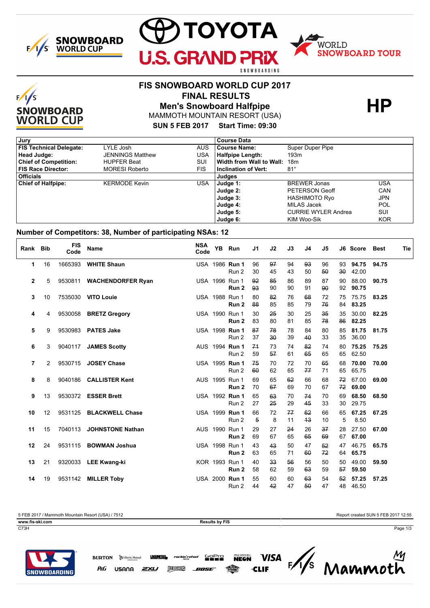



# $F/1/S$ **SNOWBOARD WORLD CUP**

# **FIS SNOWBOARD WORLD CUP 2017**

 **FINAL RESULTS**

**Men's Snowboard Halfpipe HP**

MAMMOTH MOUNTAIN RESORT (USA)

**SUN 5 FEB 2017 Start Time: 09:30**

| Jury                           |                         |            | <b>Course Data</b>           |                            |            |
|--------------------------------|-------------------------|------------|------------------------------|----------------------------|------------|
| <b>FIS Technical Delegate:</b> | LYLE Josh               | <b>AUS</b> | <b>Course Name:</b>          | Super Duper Pipe           |            |
| Head Judge:                    | <b>JENNINGS Matthew</b> | USA        | <b>Halfpipe Length:</b>      | 193m                       |            |
| <b>Chief of Competition:</b>   | <b>HUPFER Beat</b>      | SUI        | Width from Wall to Wall: 18m |                            |            |
| <b>FIS Race Director:</b>      | <b>MORESI Roberto</b>   | <b>FIS</b> | Inclination of Vert:         | $81^\circ$                 |            |
| <b>Officials</b>               |                         |            | Judges                       |                            |            |
| <b>Chief of Halfpipe:</b>      | <b>KERMODE Kevin</b>    | USA        | Judge 1:                     | <b>BREWER Jonas</b>        | USA        |
|                                |                         |            | Judge 2:                     | PETERSON Geoff             | CAN        |
|                                |                         |            | Judge 3:                     | <b>HASHIMOTO Ryo</b>       | JPN        |
|                                |                         |            | Judge 4:                     | MILAS Jacek                | POL        |
|                                |                         |            | Judge 5:                     | <b>CURRIE WYLER Andrea</b> | SUI        |
|                                |                         |            | Judge 6:                     | KIM Woo-Sik                | <b>KOR</b> |

#### **Number of Competitors: 38, Number of participating NSAs: 12**

| Rank Bib     |    | <b>FIS</b><br>Code | Name                      | <b>NSA</b><br>Code | YB Run                             | J1       | J2                 | J3       | J4       | J5       |                    | J6 Score       | <b>Best</b> | Tie |
|--------------|----|--------------------|---------------------------|--------------------|------------------------------------|----------|--------------------|----------|----------|----------|--------------------|----------------|-------------|-----|
| 1            | 16 | 1665393            | <b>WHITE Shaun</b>        |                    | USA 1986 Run 1<br>Run 2            | 96<br>30 | 97<br>45           | 94<br>43 | 93<br>50 | 96<br>50 | 93<br>$30^{\circ}$ | 94.75<br>42.00 | 94.75       |     |
| $\mathbf{2}$ | 5  |                    | 9530811 WACHENDORFER Ryan | USA 1996 Run 1     | Run 2                              | 92<br>93 | 85<br>90           | 86<br>90 | 89<br>91 | 87<br>90 | 90<br>92           | 88.00<br>90.75 | 90.75       |     |
| 3            | 10 |                    | 7535030 VITO Louie        |                    | USA 1988 Run 1<br>Run 2            | 80<br>88 | 82<br>85           | 76<br>85 | 68<br>79 | 72<br>76 | 75<br>84           | 75.75<br>83.25 | 83.25       |     |
| 4            | 4  |                    | 9530058 BRETZ Gregory     |                    | USA 1990 Run 1<br>Run 2            | 30<br>83 | 25<br>80           | 30<br>81 | 25<br>85 | 35<br>78 | 35<br>86           | 30.00<br>82.25 | 82.25       |     |
| 5            | 9  | 9530983            | <b>PATES Jake</b>         |                    | USA 1998 Run 1<br>Run 2            | 87<br>37 | 78<br>$30^{\circ}$ | 78<br>39 | 84<br>40 | 80<br>33 | 85<br>35           | 81.75<br>36.00 | 81.75       |     |
| 6            | 3  |                    | 9040117 JAMES Scotty      |                    | AUS 1994 Run 1<br>Run 2            | 74<br>59 | 73<br>57           | 74<br>61 | 82<br>65 | 74<br>65 | 80<br>65           | 75.25<br>62.50 | 75.25       |     |
| 7            | 2  | 9530715            | <b>JOSEY Chase</b>        |                    | USA 1995 Run 1<br>Run 2            | 75<br>60 | 70<br>62           | 72<br>65 | 70<br>77 | 65<br>71 | 68<br>65           | 70.00<br>65.75 | 70.00       |     |
| 8            | 8  |                    | 9040186 CALLISTER Kent    |                    | AUS 1995 Run 1<br>Run <sub>2</sub> | 69<br>70 | 65<br>67           | 62<br>69 | 66<br>70 | 68<br>67 | 72<br>72           | 67.00<br>69.00 | 69.00       |     |
| 9            | 13 |                    | 9530372 ESSER Brett       |                    | USA 1992 Run 1<br>Run 2            | 65<br>27 | 63<br>25           | 70<br>29 | 74<br>45 | 70<br>33 | 69<br>30           | 68.50<br>29.75 | 68.50       |     |
| 10           | 12 |                    | 9531125 BLACKWELL Chase   |                    | USA 1999 Run 1<br>Run 2            | 66<br>5  | 72<br>8            | 77<br>11 | 62<br>43 | 66<br>10 | 65<br>5            | 67.25<br>8.50  | 67.25       |     |
| 11           | 15 | 7040113            | <b>JOHNSTONE Nathan</b>   |                    | AUS 1990 Run 1<br>Run 2            | 29<br>69 | 27<br>67           | 24<br>65 | 26<br>65 | 37<br>69 | 28<br>67           | 27.50<br>67.00 | 67.00       |     |
| 12           | 24 |                    | 9531115 BOWMAN Joshua     |                    | USA 1998 Run 1<br>Run 2            | 43<br>63 | 43<br>65           | 50<br>71 | 47<br>60 | 52<br>72 | 47<br>64           | 46.75<br>65.75 | 65.75       |     |
| 13           | 21 |                    | 9320033 LEE Kwang-ki      |                    | KOR 1993 Run 1<br>Run 2            | 40<br>58 | 33<br>62           | 56<br>59 | 56<br>63 | 50<br>59 | 50<br>57           | 49.00<br>59.50 | 59.50       |     |
| 14           | 19 | 9531142            | <b>MILLER Toby</b>        | USA 2000 Run 1     | Run 2                              | 55<br>44 | 60<br>42           | 60<br>47 | 63<br>50 | 54<br>47 | 52<br>48           | 57.25<br>46.50 | 57.25       |     |

P&G

C73H Page 1/3



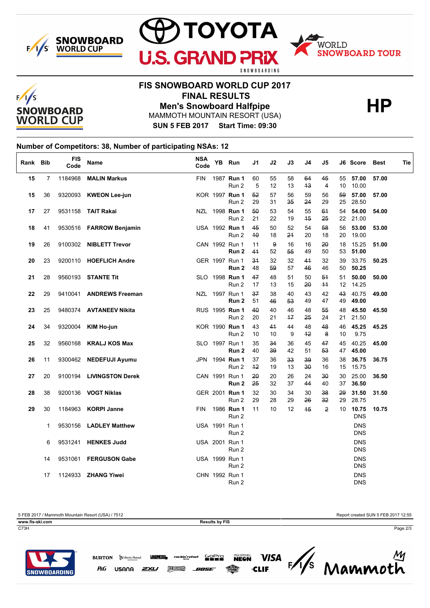





## **FIS SNOWBOARD WORLD CUP 2017 FINAL RESULTS**

**Men's Snowboard Halfpipe HP** 

MAMMOTH MOUNTAIN RESORT (USA)

**SUN 5 FEB 2017 Start Time: 09:30**

### **Number of Competitors: 38, Number of participating NSAs: 12**

| Rank Bib |                | <b>FIS</b><br>Code | Name                       | <b>NSA</b><br>Code | YB Run                  | J1         | J2              | J3       | J4         | J5                 |          | J6 Score Best            | Tie   |
|----------|----------------|--------------------|----------------------------|--------------------|-------------------------|------------|-----------------|----------|------------|--------------------|----------|--------------------------|-------|
| 15       | $\overline{7}$ |                    | 1184968 MALIN Markus       | <b>FIN</b>         | 1987 Run 1<br>Run 2     | 60<br>5    | 55<br>12        | 58<br>13 | 64<br>43   | 45<br>4            | 10       | 55 57.00<br>10.00        | 57.00 |
| 15       | 36             |                    | 9320093 KWEON Lee-jun      |                    | KOR 1997 Run 1<br>Run 2 | 52<br>29   | 57<br>31        | 56<br>35 | 59<br>24   | 56<br>29           | 59       | 57.00<br>25 28.50        | 57.00 |
| 17       | 27             |                    | 9531158 TAIT Rakai         |                    | NZL 1998 Run 1<br>Run 2 | 50<br>21   | 53<br>22        | 54<br>19 | 55<br>45   | 64<br>25           | 54       | 54.00<br>22 21.00        | 54.00 |
| 18       | 41             |                    | 9530516 FARROW Benjamin    |                    | USA 1992 Run 1<br>Run 2 | 45<br>40   | 50<br>18        | 52<br>24 | 54<br>20   | 58<br>18           | 56<br>20 | 53.00<br>19.00           | 53.00 |
| 19       | 26             |                    | 9100302 NIBLETT Trevor     |                    | CAN 1992 Run 1<br>Run 2 | 11<br>41   | 9<br>52         | 16<br>55 | 16<br>49   | 20<br>50           | 18<br>53 | 15.25<br>51.00           | 51.00 |
| 20       | 23             |                    | 9200110 HOEFLICH Andre     |                    | GER 1997 Run 1<br>Run 2 | 34<br>48   | 32<br>59        | 32<br>57 | 41<br>46   | 32<br>46           | 39<br>50 | 33.75<br>50.25           | 50.25 |
| 21       | 28             |                    | 9560193 STANTE Tit         |                    | SLO 1998 Run 1<br>Run 2 | 47<br>17   | 48<br>13        | 51<br>15 | 50<br>20   | 54<br>44           | 51<br>12 | 50.00<br>14.25           | 50.00 |
| 22       | 29             |                    | 9410041 ANDREWS Freeman    |                    | NZL 1997 Run 1<br>Run 2 | 37<br>51   | 38<br>46        | 40<br>53 | 43<br>49   | 42<br>47           | 43<br>49 | 40.75<br>49.00           | 49.00 |
| 23       | 25             |                    | 9480374 AVTANEEV Nikita    |                    | RUS 1995 Run 1<br>Run 2 | 40<br>20   | 40<br>21        | 46<br>17 | 48<br>25   | 55<br>24           | 48<br>21 | 45.50<br>21.50           | 45.50 |
| 24       | 34             |                    | 9320004 KIM Ho-jun         |                    | KOR 1990 Run 1<br>Run 2 | 43<br>10   | 44<br>10        | 44<br>9  | 48<br>$+2$ | 48<br>8            | 46<br>10 | 45.25<br>9.75            | 45.25 |
| 25       | 32             |                    | 9560168 KRALJ KOS Max      |                    | SLO 1997 Run 1<br>Run 2 | 35<br>40   | 34<br>39        | 36<br>42 | 45<br>51   | 47<br>53           | 45<br>47 | 40.25<br>45.00           | 45.00 |
| 26       | 11             |                    | 9300462 NEDEFUJI Ayumu     |                    | JPN 1994 Run 1<br>Run 2 | 37<br>$+2$ | 36<br>19        | 33<br>13 | 39<br>30   | 36<br>16           | 38<br>15 | 36.75<br>15.75           | 36.75 |
| 27       | 20             |                    | 9100194 LIVINGSTON Derek   |                    | CAN 1991 Run 1<br>Run 2 | 20<br>25   | 20<br>32        | 26<br>37 | 24<br>44   | $30^{\circ}$<br>40 | 30<br>37 | 25.00<br>36.50           | 36.50 |
| 28       | 38             |                    | 9200136 <b>VOGT Niklas</b> |                    | GER 2001 Run 1<br>Run 2 | 32<br>29   | 30<br>28        | 34<br>29 | 30<br>26   | 38<br>32           | 29<br>29 | 31.50<br>28.75           | 31.50 |
| 29       | 30             |                    | 1184963 KORPI Janne        | <b>FIN</b>         | 1986 Run 1<br>Run 2     | 11         | 10 <sup>°</sup> | 12       | 45         | $\overline{2}$     | 10       | 10.75<br><b>DNS</b>      | 10.75 |
|          | 1              |                    | 9530156 LADLEY Matthew     |                    | USA 1991 Run 1<br>Run 2 |            |                 |          |            |                    |          | <b>DNS</b><br><b>DNS</b> |       |
|          | 6              |                    | 9531241 HENKES Judd        |                    | USA 2001 Run 1<br>Run 2 |            |                 |          |            |                    |          | <b>DNS</b><br><b>DNS</b> |       |
|          | 14             |                    | 9531061 FERGUSON Gabe      |                    | USA 1999 Run 1<br>Run 2 |            |                 |          |            |                    |          | <b>DNS</b><br><b>DNS</b> |       |
|          | 17             |                    | 1124933 <b>ZHANG Yiwei</b> |                    | CHN 1992 Run 1<br>Run 2 |            |                 |          |            |                    |          | <b>DNS</b><br><b>DNS</b> |       |